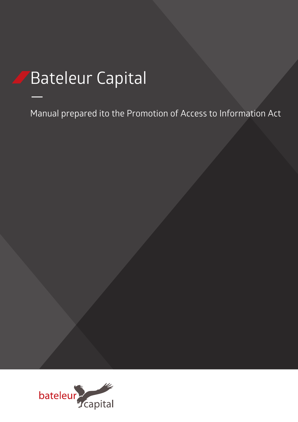## Bateleur Capital

Manual prepared ito the Promotion of Access to Information Act

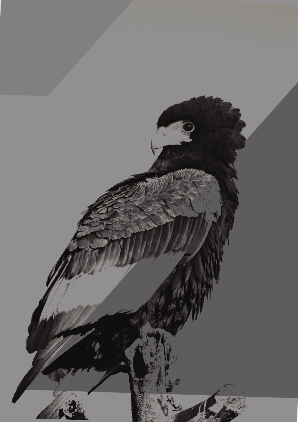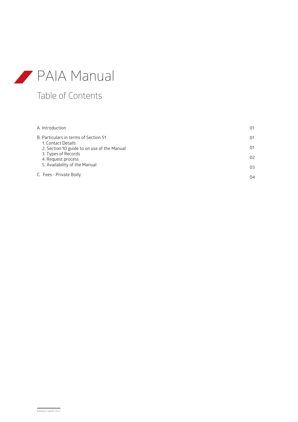

## Table of Contents

| A. Introduction                             | 01 |
|---------------------------------------------|----|
| B. Particulars in terms of Section 51       | 01 |
| 1. Contact Details                          |    |
| 2. Section 10 guide to on use of the Manual | 01 |
| 3. Types of Records                         |    |
| 4. Request process                          | 02 |
| 5. Availability of the Manual               | 03 |
| C. Fees - Private Body                      | 04 |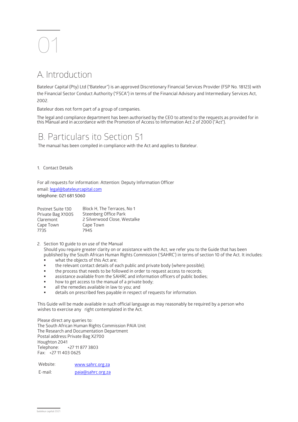## A. Introduction

01

Bateleur Capital (Pty) Ltd ("Bateleur") is an approved Discretionary Financial Services Provider (FSP No. 18123) with the Financial Sector Conduct Authority ("FSCA") in terms of the Financial Advisory and Intermediary Services Act, 2002.

Bateleur does not form part of a group of companies.

The legal and compliance department has been authorised by the CEO to attend to the requests as provided for in this Manual and in accordance with the Promotion of Access to Information Act 2 of 2000 ("Act").

### B. Particulars ito Section 51

The manual has been compiled in compliance with the Act and applies to Bateleur.

#### 1. Contact Details

For all requests for information: Attention: Deputy Information Officer email: legal@bateleurcapital.com telephone: 021 681 5060

| Postnet Suite 130 | Block H. The Terraces. No 1  |
|-------------------|------------------------------|
| Private Bag X1005 | Steenberg Office Park        |
| Claremont         | 2 Silverwood Close, Westalke |
| Cape Town         | Cape Town                    |
| 7735              | 7945                         |

2. Section 10 guide to on use of the Manual Should you require greater clarity on or assistance with the Act, we refer you to the Guide that has been published by the South African Human Rights Commission ('SAHRC') in terms of section 10 of the Act. It includes:

- what the objects of this Act are;
- the relevant contact details of each public and private body (where possible);
- the process that needs to be followed in order to request access to records;
- assistance available from the SAHRC and information officers of public bodies;
- **how to get access to the manual of a private body;**
- all the remedies available in law to you; and
- details on prescribed fees payable in respect of requests for information.

This Guide will be made available in such official language as may reasonably be required by a person who wishes to exercise any right contemplated in the Act.

Please direct any queries to: The South African Human Rights Commission PAIA Unit The Research and Documentation Department Postal address: Private Bag X2700 Houghton 2041 Telephone: +27 11 877 3803 Fax: +27 11 403 0625

Website: www.sahrc.org.za

E-mail: paia@sahrc.org.za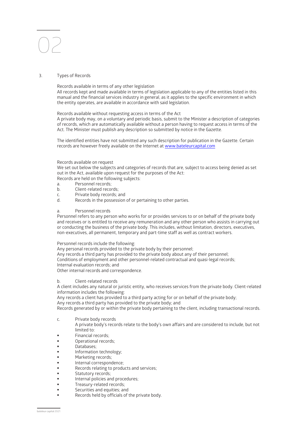# 02

#### 3. Types of Records

Records available in terms of any other legislation

All records kept and made available in terms of legislation applicable to any of the entities listed in this manual and the financial services industry in general, as it applies to the specific environment in which the entity operates, are available in accordance with said legislation.

Records available without requesting access in terms of the Act

A private body may, on a voluntary and periodic basis, submit to the Minister a description of categories of records, which are automatically available without a person having to request access in terms of the Act. The Minister must publish any description so submitted by notice in the Gazette.

The identified entities have not submitted any such description for publication in the Gazette. Certain records are however freely available on the Internet at www.bateleurcapital.com

#### Records available on request

We set out below the subjects and categories of records that are, subject to access being denied as set out in the Act, available upon request for the purposes of the Act: Records are held on the following subjects:

- 
- a. Personnel records;<br>b. Client-related recor
- b. Client-related records;<br>c. Private body records: a Private body records; and
- d. Records in the possession of or pertaining to other parties.
- a. Personnel records

Personnel refers to any person who works for or provides services to or on behalf of the private body and receives or is entitled to receive any remuneration and any other person who assists in carrying out or conducting the business of the private body. This includes, without limitation, directors, executives, non-executives, all permanent, temporary and part-time staff as well as contract workers.

Personnel records include the following:

Any personal records provided to the private body by their personnel; Any records a third party has provided to the private body about any of their personnel; Conditions of employment and other personnel-related contractual and quasi-legal records; Internal evaluation records; and Other internal records and correspondence.

b. Client-related records

A client includes any natural or juristic entity, who receives services from the private body. Client-related information includes the following:

Any records a client has provided to a third party acting for or on behalf of the private body; Any records a third party has provided to the private body; and

Records generated by or within the private body pertaining to the client, including transactional records.

c. Private body records

A private body's records relate to the body's own affairs and are considered to include, but not limited to:

- **Financial records;**
- **C** Operational records;
- Databases;
- Information technology;
- Marketing records;
- Internal correspondence;
- Records relating to products and services;
- Statutory records;
- Internal policies and procedures;
- Treasury-related records;
- Securities and equities; and
- Records held by officials of the private body.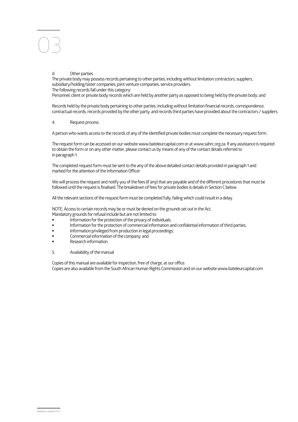## 03

#### d. Other parties

The private body may possess records pertaining to other parties, including without limitation contractors, suppliers, subsidiary/holding/sister companies, joint venture companies, service providers. The following records fall under this category:

Personnel, client or private body records which are held by another party as opposed to being held by the private body; and

Records held by the private body pertaining to other parties, including without limitation financial records, correspondence, contractual records, records provided by the other party, and records third parties have provided about the contractors / suppliers.

#### 4. Request process

Aperson who wants access to the records of any of the identified private bodies must complete the necessary request form.

The request form can be accessed on our website www.bateleurcapital.com or at www.sahrc.org.za. If any assistance is required to obtain the form or on any other matter, please contact us by means of any of the contact details referred to in paragraph 1.

The completed request form must be sent to the any of the above detailed contact details provided in paragraph 1 and marked for the attention of the Information Officer.

We will process the request and notify you of the fees (if any) that are payable and of the different procedures that must be followed until the request is finalised. The breakdown of fees for private bodies is details in Section C below.

All the relevant sections of the request form must be completed fully, failing which could result in a delay.

NOTE: Access to certain records may be or must be denied on the grounds set out in the Act. Mandatory grounds for refusal include but are not limited to:

- Information for the protection of the privacy of individuals;
- Information for the protection of commercial information and confidential information of third parties;
- **Information privileged from production in legal proceedings;**
- Commercial information of the company; and
- Research information.

#### 5. Availability of the manual

Copies of this manual are available for inspection, free of charge, at our office. Copies are also available from the South African Human Rights Commission and on our website www.bateleurcapital.com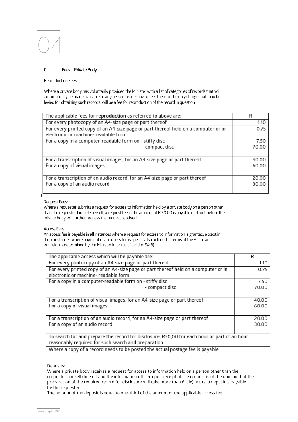#### C. Fees – Private Body

#### Reproduction Fees:

04

Where a private body has voluntarily provided the Minister with a list of categories of records that will automatically be made available to any person requesting access thereto, the only charge that may be levied for obtaining such records, will be a fee for reproduction of the record in question.

| The applicable fees for reproduction as referred to above are:                     | R     |
|------------------------------------------------------------------------------------|-------|
| For every photocopy of an A4-size page or part thereof                             | 1.10  |
| For every printed copy of an A4-size page or part thereof held on a computer or in | 0.75  |
| electronic or machine- readable form                                               |       |
| For a copy in a computer-readable form on - stiffy disc                            | 7.50  |
| - compact disc                                                                     | 70.00 |
|                                                                                    |       |
| For a transcription of visual images, for an A4-size page or part thereof          | 40.00 |
| For a copy of visual images                                                        | 60.00 |
|                                                                                    |       |
| For a transcription of an audio record, for an A4-size page or part thereof        | 20.00 |
| For a copy of an audio record                                                      | 30.00 |
|                                                                                    |       |
|                                                                                    |       |

#### Request Fees:

Where a requester submits a request for access to information held by a private body on a person other than the requester himself/herself, a request fee in the amount of R 50.00 is payable up-front before the private body will further process the request received.

#### Access Fees:

An access fee is payable in all instances where a request for access t o information is granted, except in those instances where payment of an access fee is specifically excluded in terms of the Act or an exclusion is determined by the Minister in terms of section 54(8).

| The applicable access which will be payable are:                                             | R     |  |
|----------------------------------------------------------------------------------------------|-------|--|
| For every photocopy of an A4-size page or part thereof                                       | 1.10  |  |
| For every printed copy of an A4-size page or part thereof held on a computer or in           | 0.75  |  |
| electronic or machine- readable form                                                         |       |  |
| For a copy in a computer-readable form on - stiffy disc                                      | 7.50  |  |
| - compact disc                                                                               | 70.00 |  |
|                                                                                              |       |  |
| For a transcription of visual images, for an A4-size page or part thereof                    | 40.00 |  |
| For a copy of visual images                                                                  | 60.00 |  |
|                                                                                              |       |  |
| For a transcription of an audio record, for an A4-size page or part thereof                  | 20.00 |  |
| For a copy of an audio record                                                                | 30.00 |  |
|                                                                                              |       |  |
| To search for and prepare the record for disclosure, R30,00 for each hour or part of an hour |       |  |
| reasonably required for such search and preparation                                          |       |  |
| Where a copy of a record needs to be posted the actual postage fee is payable                |       |  |
|                                                                                              |       |  |

Deposits:

Where a private body receives a request for access to information held on a person other than the requester himself/herself and the information officer upon receipt of the request is of the opinion that the preparation of the required record for disclosure will take more than 6 (six) hours, a deposit is payable by the requester.

The amount of the deposit is equal to one-third of the amount of the applicable access fee.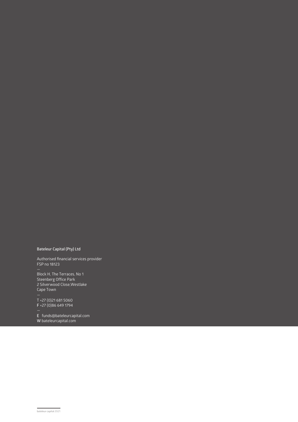#### **Bateleur Capital (Pty) Ltd**

Authorised financial services provider FSP no 18123

Block H, The Terraces, No 1 Steenberg Office Park 2 Silverwood Close,Westlake Cape Town

T +27 (0)21 681 5060 **F** +27 (0)86 649 1794

**E** funds@bateleurcapital.com **W** bateleurcapital.com